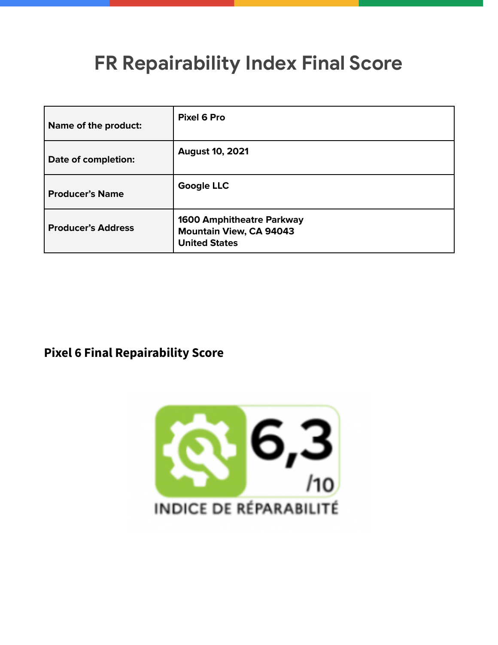## **FR Repairability Index Final Score**

| Name of the product:      | Pixel 6 Pro                                                                                |
|---------------------------|--------------------------------------------------------------------------------------------|
| Date of completion:       | <b>August 10, 2021</b>                                                                     |
| <b>Producer's Name</b>    | <b>Google LLC</b>                                                                          |
| <b>Producer's Address</b> | <b>1600 Amphitheatre Parkway</b><br><b>Mountain View, CA 94043</b><br><b>United States</b> |

## **Pixel 6 Final Repairability Score**

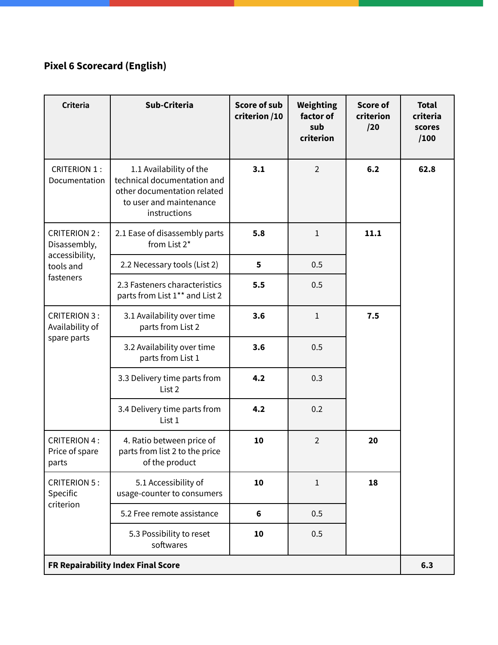## **Pixel 6 Scorecard (English)**

| <b>Criteria</b>                                                                 | Sub-Criteria                                                                                                                     | <b>Score of sub</b><br>criterion /10 | Weighting<br>factor of<br>sub<br>criterion | <b>Score of</b><br>criterion<br>/20 | <b>Total</b><br>criteria<br>scores<br>/100 |
|---------------------------------------------------------------------------------|----------------------------------------------------------------------------------------------------------------------------------|--------------------------------------|--------------------------------------------|-------------------------------------|--------------------------------------------|
| <b>CRITERION 1:</b><br>Documentation                                            | 1.1 Availability of the<br>technical documentation and<br>other documentation related<br>to user and maintenance<br>instructions | 3.1                                  | $\overline{2}$                             | 6.2                                 | 62.8                                       |
| <b>CRITERION 2:</b><br>Disassembly,<br>accessibility,<br>tools and<br>fasteners | 2.1 Ease of disassembly parts<br>from List 2*                                                                                    | 5.8                                  | $\mathbf{1}$                               | 11.1                                |                                            |
|                                                                                 | 2.2 Necessary tools (List 2)                                                                                                     | 5                                    | 0.5                                        |                                     |                                            |
|                                                                                 | 2.3 Fasteners characteristics<br>parts from List 1** and List 2                                                                  | 5.5                                  | 0.5                                        |                                     |                                            |
| <b>CRITERION 3:</b><br>Availability of<br>spare parts                           | 3.1 Availability over time<br>parts from List 2                                                                                  | 3.6                                  | $\mathbf{1}$                               | 7.5                                 |                                            |
|                                                                                 | 3.2 Availability over time<br>parts from List 1                                                                                  | 3.6                                  | 0.5                                        |                                     |                                            |
|                                                                                 | 3.3 Delivery time parts from<br>List 2                                                                                           | 4.2                                  | 0.3                                        |                                     |                                            |
|                                                                                 | 3.4 Delivery time parts from<br>List 1                                                                                           | 4.2                                  | 0.2                                        |                                     |                                            |
| <b>CRITERION 4:</b><br>Price of spare<br>parts                                  | 4. Ratio between price of<br>parts from list 2 to the price<br>of the product                                                    | 10                                   | $\overline{2}$                             | 20                                  |                                            |
| <b>CRITERION 5:</b><br>Specific<br>criterion                                    | 5.1 Accessibility of<br>usage-counter to consumers                                                                               | 10                                   | $\mathbf{1}$                               | 18                                  |                                            |
|                                                                                 | 5.2 Free remote assistance                                                                                                       | $6\phantom{1}$                       | 0.5                                        |                                     |                                            |
|                                                                                 | 5.3 Possibility to reset<br>softwares                                                                                            | 10                                   | 0.5                                        |                                     |                                            |
| FR Repairability Index Final Score                                              |                                                                                                                                  |                                      |                                            |                                     |                                            |